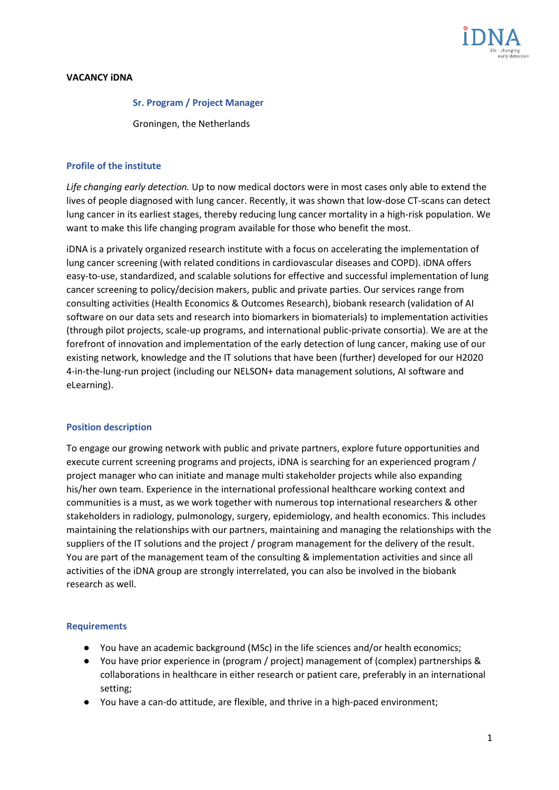

# **VACANCY iDNA**

#### **Sr. Program / Project Manager**

Groningen, the Netherlands

# **Profile of the institute**

*Life changing early detection.* Up to now medical doctors were in most cases only able to extend the lives of people diagnosed with lung cancer. Recently, it was shown that low-dose CT-scans can detect lung cancer in its earliest stages, thereby reducing lung cancer mortality in a high-risk population. We want to make this life changing program available for those who benefit the most.

iDNA is a privately organized research institute with a focus on accelerating the implementation of lung cancer screening (with related conditions in cardiovascular diseases and COPD). iDNA offers easy-to-use, standardized, and scalable solutions for effective and successful implementation of lung cancer screening to policy/decision makers, public and private parties. Our services range from consulting activities (Health Economics & Outcomes Research), biobank research (validation of AI software on our data sets and research into biomarkers in biomaterials) to implementation activities (through pilot projects, scale-up programs, and international public-private consortia). We are at the forefront of innovation and implementation of the early detection of lung cancer, making use of our existing network, knowledge and the IT solutions that have been (further) developed for our H2020 4-in-the-lung-run project (including our NELSON+ data management solutions, AI software and eLearning).

### **Position description**

To engage our growing network with public and private partners, explore future opportunities and execute current screening programs and projects, iDNA is searching for an experienced program / project manager who can initiate and manage multi stakeholder projects while also expanding his/her own team. Experience in the international professional healthcare working context and communities is a must, as we work together with numerous top international researchers & other stakeholders in radiology, pulmonology, surgery, epidemiology, and health economics. This includes maintaining the relationships with our partners, maintaining and managing the relationships with the suppliers of the IT solutions and the project / program management for the delivery of the result. You are part of the management team of the consulting & implementation activities and since all activities of the iDNA group are strongly interrelated, you can also be involved in the biobank research as well.

### **Requirements**

- You have an academic background (MSc) in the life sciences and/or health economics;
- You have prior experience in (program / project) management of (complex) partnerships & collaborations in healthcare in either research or patient care, preferably in an international setting;
- You have a can-do attitude, are flexible, and thrive in a high-paced environment;